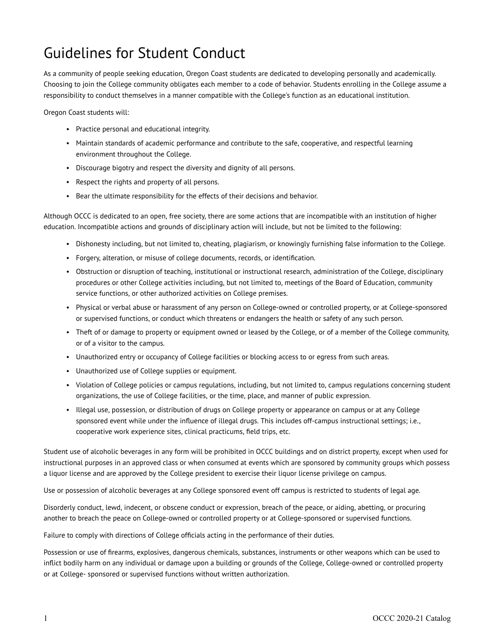## Guidelines for Student Conduct

As a community of people seeking education, Oregon Coast students are dedicated to developing personally and academically. Choosing to join the College community obligates each member to a code of behavior. Students enrolling in the College assume a responsibility to conduct themselves in a manner compatible with the College's function as an educational institution.

Oregon Coast students will:

- Practice personal and educational integrity.
- Maintain standards of academic performance and contribute to the safe, cooperative, and respectful learning environment throughout the College.
- Discourage bigotry and respect the diversity and dignity of all persons.
- Respect the rights and property of all persons.
- Bear the ultimate responsibility for the effects of their decisions and behavior.

Although OCCC is dedicated to an open, free society, there are some actions that are incompatible with an institution of higher education. Incompatible actions and grounds of disciplinary action will include, but not be limited to the following:

- Dishonesty including, but not limited to, cheating, plagiarism, or knowingly furnishing false information to the College.
- Forgery, alteration, or misuse of college documents, records, or identification.
- Obstruction or disruption of teaching, institutional or instructional research, administration of the College, disciplinary procedures or other College activities including, but not limited to, meetings of the Board of Education, community service functions, or other authorized activities on College premises.
- Physical or verbal abuse or harassment of any person on College-owned or controlled property, or at College-sponsored or supervised functions, or conduct which threatens or endangers the health or safety of any such person.
- Theft of or damage to property or equipment owned or leased by the College, or of a member of the College community, or of a visitor to the campus.
- Unauthorized entry or occupancy of College facilities or blocking access to or egress from such areas.
- Unauthorized use of College supplies or equipment.
- Violation of College policies or campus regulations, including, but not limited to, campus regulations concerning student organizations, the use of College facilities, or the time, place, and manner of public expression.
- Illegal use, possession, or distribution of drugs on College property or appearance on campus or at any College sponsored event while under the influence of illegal drugs. This includes off-campus instructional settings; i.e., cooperative work experience sites, clinical practicums, field trips, etc.

Student use of alcoholic beverages in any form will be prohibited in OCCC buildings and on district property, except when used for instructional purposes in an approved class or when consumed at events which are sponsored by community groups which possess a liquor license and are approved by the College president to exercise their liquor license privilege on campus.

Use or possession of alcoholic beverages at any College sponsored event off campus is restricted to students of legal age.

Disorderly conduct, lewd, indecent, or obscene conduct or expression, breach of the peace, or aiding, abetting, or procuring another to breach the peace on College-owned or controlled property or at College-sponsored or supervised functions.

Failure to comply with directions of College officials acting in the performance of their duties.

Possession or use of firearms, explosives, dangerous chemicals, substances, instruments or other weapons which can be used to inflict bodily harm on any individual or damage upon a building or grounds of the College, College-owned or controlled property or at College- sponsored or supervised functions without written authorization.